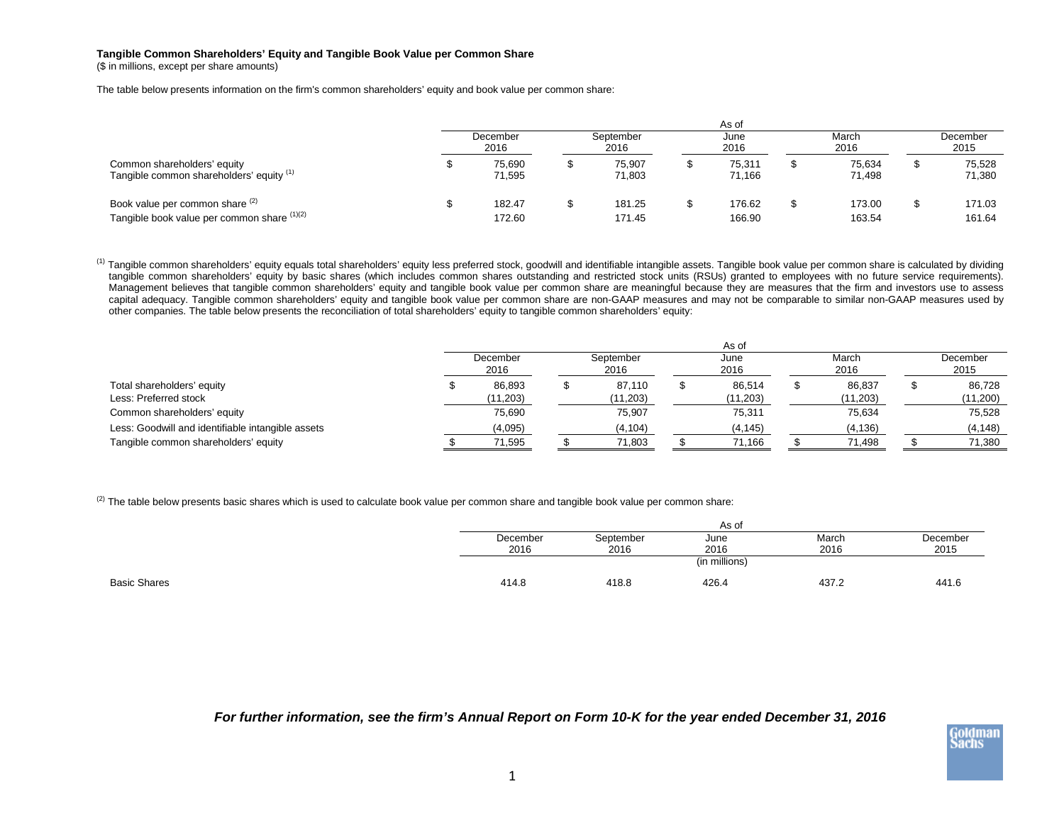## **Tangible Common Shareholders' Equity and Tangible Book Value per Common Share**

(\$ in millions, except per share amounts)

The table below presents information on the firm's common shareholders' equity and book value per common share:

|                                                                                | As of            |                  |                   |                  |              |                  |               |                  |                  |                  |
|--------------------------------------------------------------------------------|------------------|------------------|-------------------|------------------|--------------|------------------|---------------|------------------|------------------|------------------|
|                                                                                | December<br>2016 |                  | September<br>2016 |                  | June<br>2016 |                  | March<br>2016 |                  | December<br>2015 |                  |
| Common shareholders' equity<br>Tangible common shareholders' equity (1)        |                  | 75.690<br>71,595 |                   | 75.907<br>71.803 |              | 75,311<br>71,166 |               | 75,634<br>71,498 |                  | 75,528<br>71,380 |
| Book value per common share (2)<br>Tangible book value per common share (1)(2) |                  | 182.47<br>172.60 |                   | 181.25<br>171.45 |              | 176.62<br>166.90 |               | 173.00<br>163.54 |                  | 171.03<br>161.64 |

<sup>(1)</sup> Tangible common shareholders' equity equals total shareholders' equity less preferred stock, goodwill and identifiable intangible assets. Tangible book value per common share is calculated by dividing tangible common shareholders' equity by basic shares (which includes common shares outstanding and restricted stock units (RSUs) granted to employees with no future service requirements). Management believes that tangible common shareholders' equity and tangible book value per common share are meaningful because they are measures that the firm and investors use to assess capital adequacy. Tangible common shareholders' equity and tangible book value per common share are non-GAAP measures and may not be comparable to similar non-GAAP measures used by other companies. The table below presents the reconciliation of total shareholders' equity to tangible common shareholders' equity:

|                                                     | As of            |                    |                   |                    |              |                     |               |                    |  |                    |
|-----------------------------------------------------|------------------|--------------------|-------------------|--------------------|--------------|---------------------|---------------|--------------------|--|--------------------|
|                                                     | December<br>2016 |                    | September<br>2016 |                    | June<br>2016 |                     | March<br>2016 |                    |  | December<br>2015   |
| Total shareholders' equity<br>Less: Preferred stock |                  | 86,893<br>(11,203) |                   | 87.110<br>(11,203) |              | 86,514<br>(11, 203) |               | 86.837<br>(11,203) |  | 86.728<br>(11,200) |
| Common shareholders' equity                         |                  | 75,690             |                   | 75,907             |              | 75,311              |               | 75,634             |  | 75,528             |
| Less: Goodwill and identifiable intangible assets   |                  | (4,095)            |                   | (4, 104)           |              | (4, 145)            |               | (4, 136)           |  | (4, 148)           |
| Tangible common shareholders' equity                |                  | 71,595             |                   | 71,803             |              | 71.166              |               | 71.498             |  | 71,380             |

 $^{(2)}$  The table below presents basic shares which is used to calculate book value per common share and tangible book value per common share:

|              |          |           | As of         |       |          |
|--------------|----------|-----------|---------------|-------|----------|
|              | December | September | June          | March | December |
|              | 2016     | 2016      | 2016          | 2016  | 2015     |
|              |          |           | (in millions) |       |          |
| Basic Shares | 414.8    | 418.8     | 426.4         | 437.2 | 441.6    |

*For further information, see the firm's Annual Report on Form 10-K for the year ended December 31, 2016*